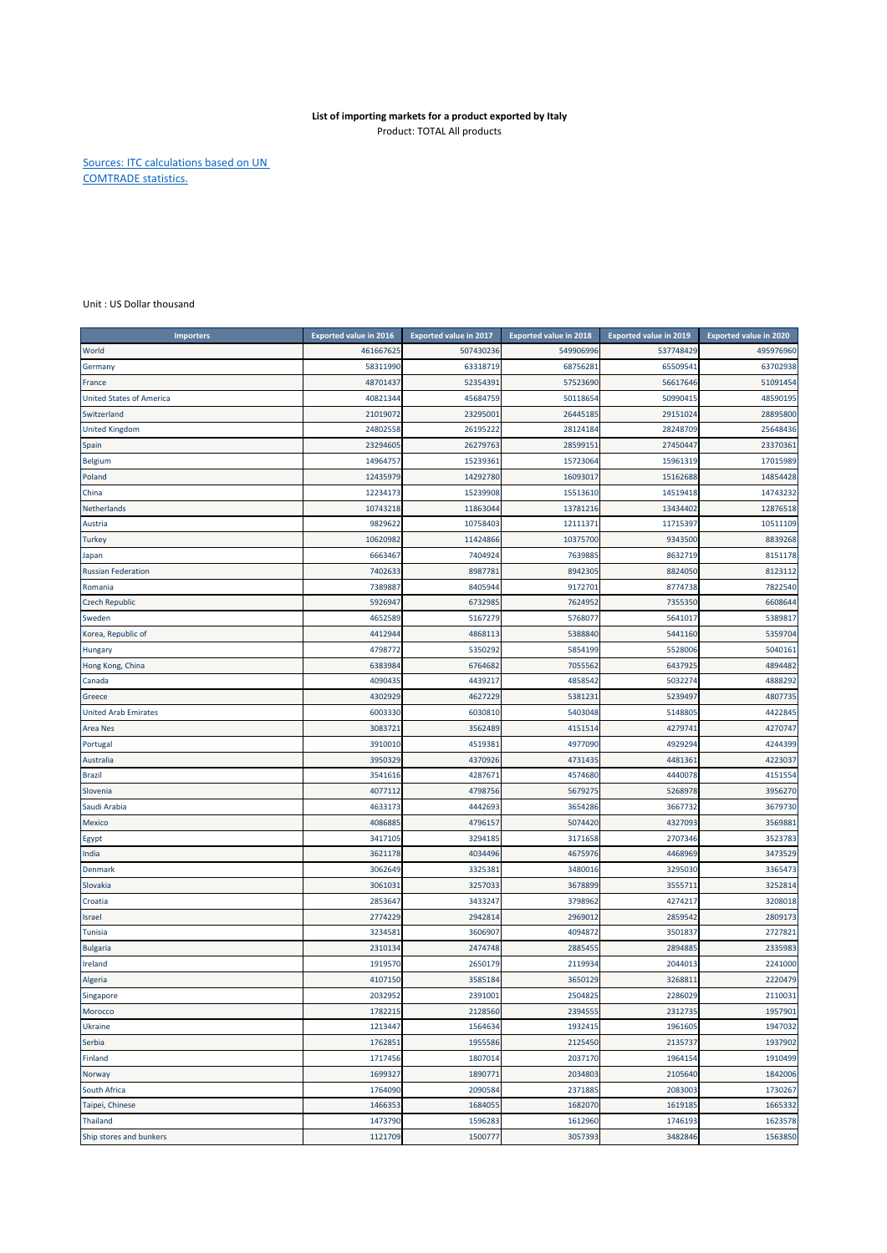## **List of importing markets for a product exported by Italy** Product: TOTAL All products

Sources: ITC calculations based on UN COMTRADE statistics.

Unit : US Dollar thousand

| <b>Importers</b>                | <b>Exported value in 2016</b> | <b>Exported value in 2017</b> | <b>Exported value in 2018</b> | <b>Exported value in 2019</b> | <b>Exported value in 2020</b> |
|---------------------------------|-------------------------------|-------------------------------|-------------------------------|-------------------------------|-------------------------------|
| World                           | 461667625                     | 507430236                     | 549906996                     | 537748429                     | 495976960                     |
| Germany                         | 58311990                      | 63318719                      | 68756281                      | 65509541                      | 63702938                      |
| France                          | 48701437                      | 52354391                      | 57523690                      | 56617646                      | 51091454                      |
| <b>United States of America</b> | 40821344                      | 45684759                      | 50118654                      | 50990415                      | 48590195                      |
| Switzerland                     | 21019072                      | 23295001                      | 26445185                      | 29151024                      | 28895800                      |
| <b>United Kingdom</b>           | 24802558                      | 26195222                      | 28124184                      | 28248709                      | 25648436                      |
| Spain                           | 23294605                      | 26279763                      | 28599151                      | 27450447                      | 23370361                      |
| Belgium                         | 14964757                      | 15239361                      | 15723064                      | 15961319                      | 17015989                      |
| Poland                          | 12435979                      | 14292780                      | 16093017                      | 15162688                      | 14854428                      |
| China                           | 12234173                      | 15239908                      | 15513610                      | 14519418                      | 14743232                      |
| Netherlands                     | 10743218                      | 11863044                      | 13781216                      | 13434402                      | 12876518                      |
| Austria                         | 9829622                       | 10758403                      | 12111371                      | 11715397                      | 10511109                      |
| <b>Turkey</b>                   | 10620982                      | 11424866                      | 10375700                      | 9343500                       | 8839268                       |
| Japan                           | 6663467                       | 7404924                       | 7639885                       | 8632719                       | 8151178                       |
| <b>Russian Federation</b>       | 7402633                       | 8987781                       | 8942305                       | 8824050                       | 8123112                       |
| Romania                         | 7389887                       | 8405944                       | 9172701                       | 8774738                       | 7822540                       |
| <b>Czech Republic</b>           | 5926947                       | 6732985                       | 7624952                       | 7355350                       | 6608644                       |
| Sweden                          | 4652589                       | 5167279                       | 5768077                       | 5641017                       | 5389817                       |
| Korea, Republic of              | 4412944                       | 4868113                       | 5388840                       | 5441160                       | 5359704                       |
| <b>Hungary</b>                  | 4798772                       | 5350292                       | 5854199                       | 5528006                       | 5040161                       |
| Hong Kong, China                | 6383984                       | 6764682                       | 7055562                       | 6437925                       | 4894482                       |
| Canada                          | 4090435                       | 4439217                       | 4858542                       | 5032274                       | 4888292                       |
| Greece                          | 4302929                       | 4627229                       | 5381231                       | 5239497                       | 4807735                       |
| <b>United Arab Emirates</b>     | 6003330                       | 6030810                       | 5403048                       | 5148805                       | 4422845                       |
| <b>Area Nes</b>                 | 3083721                       | 3562489                       | 4151514                       | 4279741                       | 4270747                       |
| Portugal                        | 3910010                       | 4519381                       | 4977090                       | 4929294                       | 4244399                       |
| Australia                       | 3950329                       | 4370926                       | 4731435                       | 4481361                       | 4223037                       |
| <b>Brazil</b>                   | 3541616                       | 4287671                       | 4574680                       | 4440078                       | 4151554                       |
| Slovenia                        | 4077112                       | 4798756                       | 5679275                       | 5268978                       | 3956270                       |
| Saudi Arabia                    | 4633173                       | 4442693                       | 3654286                       | 3667732                       | 3679730                       |
| Mexico                          | 4086885                       | 4796157                       | 5074420                       | 4327093                       | 3569881                       |
| Egypt                           | 3417105                       | 3294185                       | 3171658                       | 2707346                       | 3523783                       |
| India                           | 3621178                       | 4034496                       | 4675976                       | 4468969                       | 3473529                       |
| Denmark                         | 3062649                       | 3325381                       | 3480016                       | 3295030                       | 3365473                       |
| Slovakia                        | 306103                        | 3257033                       | 3678899                       | 355571                        | 3252814                       |
| Croatia                         | 2853647                       | 3433247                       | 3798962                       | 4274217                       | 3208018                       |
| Israel                          | 2774229                       | 2942814                       | 2969012                       | 2859542                       | 2809173                       |
| Tunisia                         | 3234581                       | 3606907                       | 4094872                       | 3501837                       | 2727821                       |
| <b>Bulgaria</b>                 | 2310134                       | 2474748                       | 2885455                       | 2894885                       | 2335983                       |
| Ireland                         | 1919570                       | 2650179                       | 2119934                       | 2044013                       | 2241000                       |
| Algeria                         | 4107150                       | 3585184                       | 3650129                       | 3268811                       | 2220479                       |
| Singapore                       | 2032952                       | 2391001                       | 2504825                       | 2286029                       | 2110031                       |
| Morocco                         | 1782215                       | 2128560                       | 2394555                       | 2312735                       | 1957901                       |
| Ukraine                         | 1213447                       | 1564634                       | 1932415                       | 1961605                       | 1947032                       |
| Serbia                          | 1762851                       | 1955586                       | 2125450                       | 2135737                       | 1937902                       |
| Finland                         | 1717456                       | 1807014                       | 2037170                       | 1964154                       | 1910499                       |
| Norway                          | 1699327                       | 1890771                       | 2034803                       | 2105640                       | 1842006                       |
| South Africa                    | 1764090                       | 2090584                       | 2371885                       | 2083003                       | 1730267                       |
| Taipei, Chinese                 | 1466353                       | 1684055                       | 1682070                       | 1619185                       | 1665332                       |
| Thailand                        | 1473790                       | 1596283                       | 1612960                       | 1746193                       | 1623578                       |
| Ship stores and bunkers         | 1121709                       | 1500777                       | 3057393                       | 3482846                       | 1563850                       |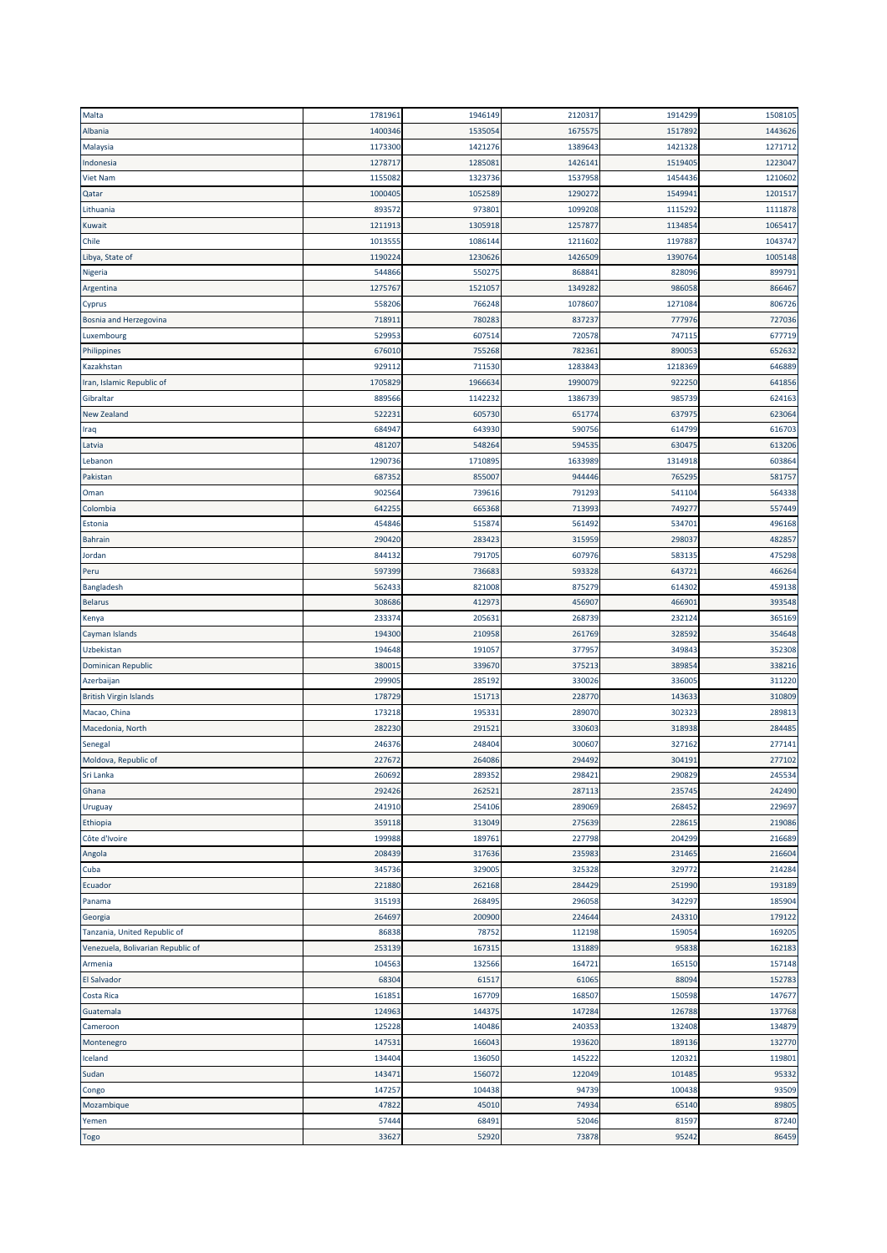| Malta                             | 1781961 | 1946149 | 2120317 | 1914299 | 1508105 |
|-----------------------------------|---------|---------|---------|---------|---------|
| Albania                           | 1400346 | 1535054 | 1675575 | 1517892 | 1443626 |
| Malaysia                          | 1173300 | 1421276 | 1389643 | 1421328 | 1271712 |
| Indonesia                         | 1278717 | 1285081 | 1426141 | 151940  | 1223047 |
| <b>Viet Nam</b>                   | 1155082 | 1323736 | 1537958 | 1454436 | 1210602 |
| Qatar                             | 1000405 | 1052589 | 1290272 | 1549941 | 1201517 |
| Lithuania                         | 893572  | 97380   | 1099208 | 1115292 | 1111878 |
| Kuwait                            | 1211913 | 1305918 | 1257877 | 1134854 | 1065417 |
| Chile                             | 1013555 | 1086144 | 1211602 | 1197887 | 1043747 |
| Libya, State of                   | 119022  | 1230626 | 1426509 | 1390764 | 1005148 |
| Nigeria                           | 544866  | 55027   | 868841  | 828096  | 899791  |
| Argentina                         | 1275767 | 1521057 | 1349282 | 986058  | 866467  |
| Cyprus                            | 558206  | 766248  | 1078607 | 1271084 | 806726  |
| Bosnia and Herzegovina            | 71891   | 780283  | 837237  | 777976  | 727036  |
|                                   | 52995   | 60751   | 720578  | 74711   | 677719  |
| Luxembourg<br>Philippines         | 676010  | 755268  | 782361  | 89005   | 652632  |
|                                   | 929112  | 711530  |         |         | 646889  |
| Kazakhstan                        |         |         | 1283843 | 1218369 |         |
| Iran, Islamic Republic of         | 170582  | 196663  | 1990079 | 922250  | 641856  |
| Gibraltar                         | 889566  | 114223  | 1386739 | 985739  | 624163  |
| New Zealand                       | 522231  | 605730  | 651774  | 63797   | 623064  |
| Iraq                              | 684947  | 643930  | 590756  | 614799  | 616703  |
| Latvia                            | 481207  | 548264  | 594535  | 630475  | 613206  |
| Lebanon                           | 1290736 | 1710895 | 1633989 | 1314918 | 603864  |
| Pakistan                          | 687352  | 85500   | 944446  | 76529   | 581757  |
| Oman                              | 902564  | 739616  | 791293  | 541104  | 564338  |
| Colombia                          | 642255  | 665368  | 713993  | 749277  | 557449  |
| Estonia                           | 454846  | 515874  | 561492  | 53470:  | 496168  |
| <b>Bahrain</b>                    | 290420  | 283423  | 315959  | 29803   | 482857  |
| Jordan                            | 844132  | 791705  | 607976  | 583135  | 475298  |
| Peru                              | 597399  | 736683  | 593328  | 643721  | 466264  |
| Bangladesh                        | 562433  | 821008  | 875279  | 614302  | 459138  |
| <b>Belarus</b>                    | 308686  | 412973  | 456907  | 46690:  | 393548  |
| Kenya                             | 23337   | 20563:  | 268739  | 232124  | 365169  |
| Cayman Islands                    | 194300  | 210958  | 261769  | 328592  | 354648  |
| Uzbekistan                        | 194648  | 191057  | 377957  | 349843  | 352308  |
| Dominican Republic                | 38001   | 339670  | 375213  | 38985   | 338216  |
| Azerbaijan                        | 299905  | 285192  | 330026  | 336005  | 311220  |
| <b>British Virgin Islands</b>     | 178729  | 151713  | 228770  | 143633  | 310809  |
| Macao, China                      | 173218  | 19533:  | 289070  | 302323  | 289813  |
| Macedonia, North                  | 282230  | 29152   | 330603  | 318938  | 284485  |
|                                   | 246376  | 248404  | 300607  | 327162  | 277141  |
| Senegal                           |         |         |         |         | 277102  |
| Moldova, Republic of              | 227672  | 264086  | 294492  | 30419:  | 245534  |
| Sri Lanka                         | 260692  | 289352  | 298421  | 290829  |         |
| Ghana                             | 292426  | 262521  | 287113  | 235745  | 242490  |
| Uruguay                           | 241910  | 254106  | 289069  | 268452  | 229697  |
| Ethiopia                          | 359118  | 313049  | 275639  | 228615  | 219086  |
| Côte d'Ivoire                     | 199988  | 189761  | 227798  | 204299  | 216689  |
| Angola                            | 208439  | 317636  | 235983  | 231465  | 216604  |
| Cuba                              | 345736  | 329005  | 325328  | 329772  | 214284  |
| Ecuador                           | 221880  | 262168  | 284429  | 251990  | 193189  |
| Panama                            | 315193  | 268495  | 296058  | 342297  | 185904  |
| Georgia                           | 264697  | 200900  | 224644  | 243310  | 179122  |
| Tanzania, United Republic of      | 86838   | 78752   | 112198  | 159054  | 169205  |
| Venezuela, Bolivarian Republic of | 253139  | 167315  | 131889  | 95838   | 162183  |
| Armenia                           | 104563  | 132566  | 164721  | 165150  | 157148  |
| El Salvador                       | 68304   | 61517   | 61065   | 88094   | 152783  |
| Costa Rica                        | 161851  | 167709  | 168507  | 150598  | 147677  |
| Guatemala                         | 124963  | 144375  | 147284  | 126788  | 137768  |
| Cameroon                          | 125228  | 140486  | 240353  | 132408  | 134879  |
| Montenegro                        | 147531  | 166043  | 193620  | 189136  | 132770  |
| Iceland                           | 134404  | 136050  | 145222  | 12032:  | 119801  |
| Sudan                             | 143471  | 156072  | 122049  | 101485  | 95332   |
| Congo                             | 147257  | 104438  | 94739   | 100438  | 93509   |
| Mozambique                        | 47822   | 45010   | 74934   | 65140   | 89805   |
| Yemen                             | 57444   | 68491   | 52046   | 81597   | 87240   |
|                                   | 33627   | 52920   | 73878   | 95242   | 86459   |
| Togo                              |         |         |         |         |         |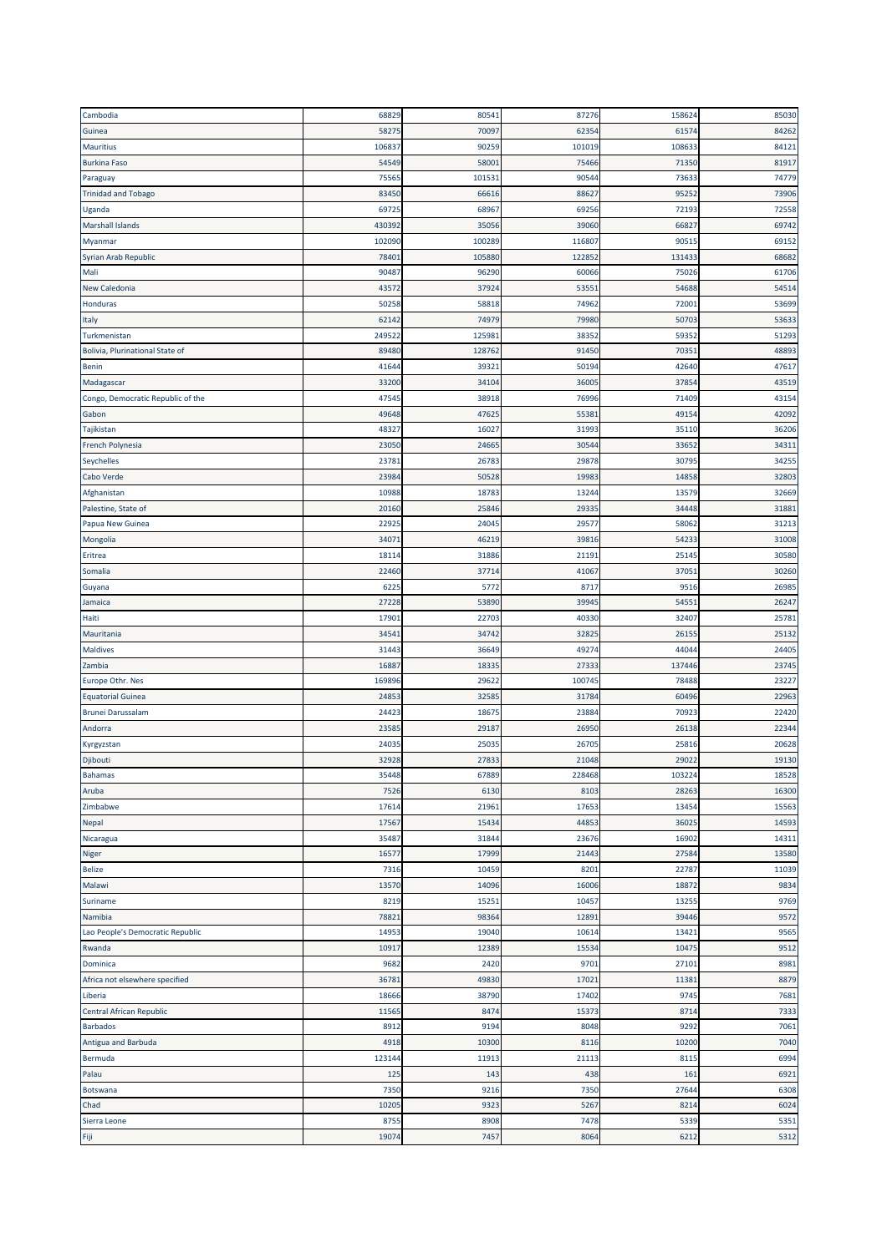| Cambodia                          | 68829         | 80541         | 87276         | 158624        | 85030        |
|-----------------------------------|---------------|---------------|---------------|---------------|--------------|
| Guinea                            | 5827          | 70097         | 62354         | 6157          | 84262        |
| <b>Mauritius</b>                  | 10683         | 90259         | 101019        | 10863         | 84121        |
| <b>Burkina Faso</b>               | 54549         | 58001         | 75466         | 71350         | 81917        |
| Paraguay                          | 7556          | 101531        | 90544         | 73633         | 74779        |
| <b>Trinidad and Tobago</b>        | 8345          | 66616         | 88627         | 9525          | 73906        |
| Uganda                            | 6972          | 68967         | 69256         | 7219          | 72558        |
| <b>Marshall Islands</b>           | 430392        | 35056         | 39060         | 6682          | 69742        |
| Myanmar                           | 102090        | 100289        | 116807        | 9051          | 69152        |
| Syrian Arab Republic              | 7840          | 105880        | 122852        | 131433        | 68682        |
| Mali                              | 9048          | 96290         | 60066         | 75026         | 61706        |
| <b>New Caledonia</b>              | 43572         | 37924         | 53551         | 54688         | 54514        |
| Honduras                          | 50258         | 58818         | 74962         | 7200          | 53699        |
|                                   | 62142         | 74979         | 79980         | 50703         | 53633        |
| Italy<br>Turkmenistan             | 24952         | 125981        | 38352         | 5935          | 51293        |
| Bolivia, Plurinational State of   | 89480         | 128762        | 91450         | 7035          | 48893        |
|                                   |               |               |               |               | 47617        |
| <b>Benin</b>                      | 4164          | 39321         | 50194         | 42640         |              |
| Madagascar                        | 33200         | 34104         | 36005         | 3785          | 43519        |
| Congo, Democratic Republic of the | 4754          | 38918         | 76996         | 71409         | 43154        |
| Gabon                             | 49648         | 47625         | 55381         | 4915          | 42092        |
| Tajikistan                        | 4832          | 16027         | 31993         | 3511          | 36206        |
| French Polynesia                  | 23050         | 24665         | 30544         | 33652         | 34311        |
| Seychelles                        | 2378          | 26783         | 29878         | 3079          | 34255        |
| Cabo Verde                        | 23984         | 50528         | 19983         | 14858         | 32803        |
| Afghanistan                       | 10988         | 18783         | 13244         | 13579         | 32669        |
| Palestine, State of               | 2016          | 25846         | 29335         | 34448         | 31881        |
| Papua New Guinea                  | 2292          | 24045         | 29577         | 58062         | 31213        |
| Mongolia                          | 3407          | 46219         | 39816         | 5423          | 31008        |
| Eritrea                           | 1811          | 31886         | 21191         | 25145         | 30580        |
| Somalia                           | 22460         | 37714         | 41067         | 3705          | 30260        |
| Guyana                            | 622           | 5772          | 8717          | 9516          | 26985        |
| Jamaica                           | 27228         | 53890         | 39945         | 5455          | 26247        |
| Haiti                             | 1790          | 22703         | 40330         | 3240          | 25781        |
| Mauritania                        | 3454          | 34742         | 32825         | 2615          | 25132        |
| <b>Maldives</b>                   | 31443         | 36649         | 49274         | 44044         | 24405        |
| Zambia                            | 1688          | 18335         | 27333         | 137446        | 23745        |
| Europe Othr. Nes                  | 169896        | 29622         | 100745        | 78488         | 23227        |
| <b>Equatorial Guinea</b>          | 2485          | 32585         | 31784         | 60496         | 22963        |
| <b>Brunei Darussalam</b>          | 2442          | 18675         | 23884         | 70923         | 22420        |
| Andorra                           | 2358          | 29187         | 26950         | 2613          | 22344        |
| Kyrgyzstan                        | 2403          | 25035         | 26705         | 2581          | 20628        |
| Djibouti                          | 32928         | 27833         | 21048         | 29022         | 19130        |
| Bahamas                           | 35448         | 67889         | 228468        | 103224        | 18528        |
| Aruba                             | 7526          | 6130          | 8103          | 28263         | 16300        |
| Zimbabwe                          | 17614         | 21961         | 17653         | 13454         | 15563        |
| Nepal                             | 17567         | 15434         | 44853         | 36025         | 14593        |
| Nicaragua                         | 35487         | 31844         | 23676         | 16902         | 14311        |
| <b>Niger</b>                      | 1657          | 17999         | 21443         | 27584         | 13580        |
| <b>Belize</b>                     | 7316          | 10459         | 8201          | 22787         | 11039        |
| Malawi                            | 13570         | 14096         | 16006         | 18872         | 9834         |
| Suriname                          | 8219          | 15251         | 10457         | 13255         | 9769         |
| Namibia                           | 7882          | 98364         | 12891         | 39446         | 9572         |
| Lao People's Democratic Republic  | 14953         | 19040         | 10614         | 13421         | 9565         |
|                                   |               |               |               |               |              |
| Rwanda<br>Dominica                | 10917<br>9682 | 12389<br>2420 | 15534<br>9701 | 10475<br>2710 | 9512<br>8981 |
|                                   |               |               |               |               |              |
| Africa not elsewhere specified    | 3678          | 49830         | 17021         | 1138          | 8879         |
| Liberia                           | 18666         | 38790         | 17402         | 9745          | 7681         |
| Central African Republic          | 11565         | 8474          | 15373         | 8714          | 7333         |
| <b>Barbados</b>                   | 8912          | 9194          | 8048          | 9292          | 7061         |
| Antigua and Barbuda               | 4918          | 10300         | 8116          | 10200         | 7040         |
| Bermuda                           | 123144        | 11913         | 21113         | 811           | 6994         |
| Palau                             | 125           | 143           | 438           | 161           | 6921         |
| Botswana                          | 7350          | 9216          | 7350          | 27644         | 6308         |
| Chad                              | 1020          | 9323          | 5267          | 8214          | 6024         |
| Sierra Leone                      | 875           | 8908          | 7478          | 5339          | 5351         |
| Fiji                              | 19074         | 7457          | 8064          | 6212          | 5312         |